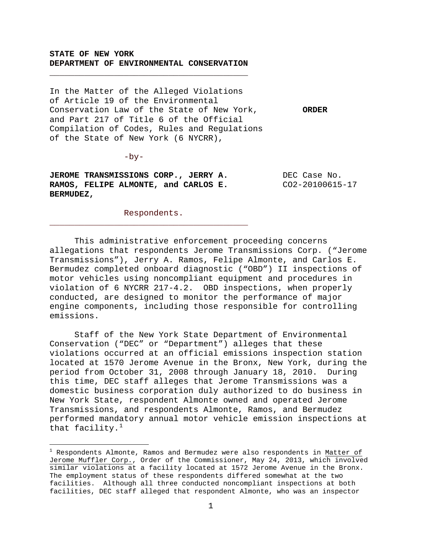## **STATE OF NEW YORK DEPARTMENT OF ENVIRONMENTAL CONSERVATION**

**\_\_\_\_\_\_\_\_\_\_\_\_\_\_\_\_\_\_\_\_\_\_\_\_\_\_\_\_\_\_\_\_\_\_\_\_\_\_\_\_** 

In the Matter of the Alleged Violations of Article 19 of the Environmental Conservation Law of the State of New York, **ORDER**  and Part 217 of Title 6 of the Official Compilation of Codes, Rules and Regulations of the State of New York (6 NYCRR),

 $-by-$ 

i<br>Li

**JEROME TRANSMISSIONS CORP., JERRY A. BEC Case No. RAMOS, FELIPE ALMONTE, and CARLOS E.** CO2-20100615-17 **BERMUDEZ,** 

 Respondents. **\_\_\_\_\_\_\_\_\_\_\_\_\_\_\_\_\_\_\_\_\_\_\_\_\_\_\_\_\_\_\_\_\_\_\_\_\_\_\_\_**

This administrative enforcement proceeding concerns allegations that respondents Jerome Transmissions Corp. ("Jerome Transmissions"), Jerry A. Ramos, Felipe Almonte, and Carlos E. Bermudez completed onboard diagnostic ("OBD") II inspections of motor vehicles using noncompliant equipment and procedures in violation of 6 NYCRR 217-4.2. OBD inspections, when properly conducted, are designed to monitor the performance of major engine components, including those responsible for controlling emissions.

Staff of the New York State Department of Environmental Conservation ("DEC" or "Department") alleges that these violations occurred at an official emissions inspection station located at 1570 Jerome Avenue in the Bronx, New York, during the period from October 31, 2008 through January 18, 2010. During this time, DEC staff alleges that Jerome Transmissions was a domestic business corporation duly authorized to do business in New York State, respondent Almonte owned and operated Jerome Transmissions, and respondents Almonte, Ramos, and Bermudez performed mandatory annual motor vehicle emission inspections at that facility. $<sup>1</sup>$  $<sup>1</sup>$  $<sup>1</sup>$ </sup>

<span id="page-0-0"></span> $^1$  Respondents Almonte, Ramos and Bermudez were also respondents in <u>Matter of</u> Jerome Muffler Corp., Order of the Commissioner, May 24, 2013, which involved similar violations at a facility located at 1572 Jerome Avenue in the Bronx. The employment status of these respondents differed somewhat at the two facilities. Although all three conducted noncompliant inspections at both facilities, DEC staff alleged that respondent Almonte, who was an inspector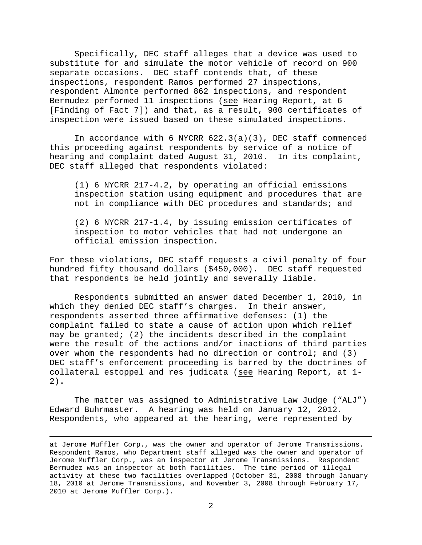Specifically, DEC staff alleges that a device was used to substitute for and simulate the motor vehicle of record on 900 separate occasions. DEC staff contends that, of these inspections, respondent Ramos performed 27 inspections, respondent Almonte performed 862 inspections, and respondent Bermudez performed 11 inspections (see Hearing Report, at 6 [Finding of Fact 7]) and that, as a result, 900 certificates of inspection were issued based on these simulated inspections.

 In accordance with 6 NYCRR 622.3(a)(3), DEC staff commenced this proceeding against respondents by service of a notice of hearing and complaint dated August 31, 2010. In its complaint, DEC staff alleged that respondents violated:

(1) 6 NYCRR 217-4.2, by operating an official emissions inspection station using equipment and procedures that are not in compliance with DEC procedures and standards; and

(2) 6 NYCRR 217-1.4, by issuing emission certificates of inspection to motor vehicles that had not undergone an official emission inspection.

For these violations, DEC staff requests a civil penalty of four hundred fifty thousand dollars (\$450,000). DEC staff requested that respondents be held jointly and severally liable.

 Respondents submitted an answer dated December 1, 2010, in which they denied DEC staff's charges. In their answer, respondents asserted three affirmative defenses: (1) the complaint failed to state a cause of action upon which relief may be granted; (2) the incidents described in the complaint were the result of the actions and/or inactions of third parties over whom the respondents had no direction or control; and (3) DEC staff's enforcement proceeding is barred by the doctrines of collateral estoppel and res judicata (see Hearing Report, at 1- 2)**.**

The matter was assigned to Administrative Law Judge ("ALJ") Edward Buhrmaster. A hearing was held on January 12, 2012. Respondents, who appeared at the hearing, were represented by

i<br>Li

at Jerome Muffler Corp., was the owner and operator of Jerome Transmissions. Respondent Ramos, who Department staff alleged was the owner and operator of Jerome Muffler Corp., was an inspector at Jerome Transmissions. Respondent Bermudez was an inspector at both facilities. The time period of illegal activity at these two facilities overlapped (October 31, 2008 through January 18, 2010 at Jerome Transmissions, and November 3, 2008 through February 17, 2010 at Jerome Muffler Corp.).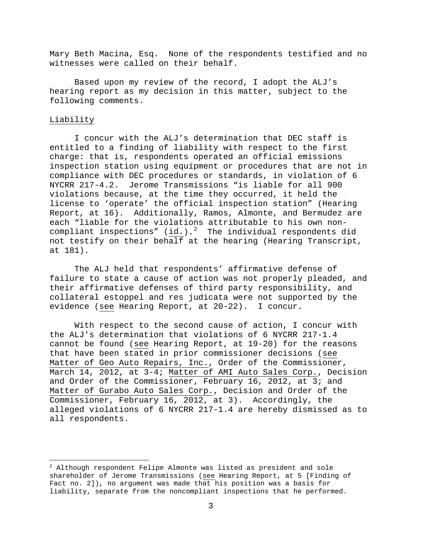Mary Beth Macina, Esq. None of the respondents testified and no witnesses were called on their behalf.

Based upon my review of the record, I adopt the ALJ's hearing report as my decision in this matter, subject to the following comments.

### Liability

i

I concur with the ALJ's determination that DEC staff is entitled to a finding of liability with respect to the first charge: that is, respondents operated an official emissions inspection station using equipment or procedures that are not in compliance with DEC procedures or standards, in violation of 6 NYCRR 217-4.2. Jerome Transmissions "is liable for all 900 violations because, at the time they occurred, it held the license to 'operate' the official inspection station" (Hearing Report, at 16). Additionally, Ramos, Almonte, and Bermudez are each "liable for the violations attributable to his own non-compliant inspections" (id.).<sup>[2](#page-2-0)</sup> The individual respondents did not testify on their behalf at the hearing (Hearing Transcript, at 181).

The ALJ held that respondents' affirmative defense of failure to state a cause of action was not properly pleaded, and their affirmative defenses of third party responsibility, and collateral estoppel and res judicata were not supported by the evidence (see Hearing Report, at 20-22). I concur.

With respect to the second cause of action, I concur with the ALJ's determination that violations of 6 NYCRR 217-1.4 cannot be found (see Hearing Report, at 19-20) for the reasons that have been stated in prior commissioner decisions (see Matter of Geo Auto Repairs, Inc., Order of the Commissioner, March 14, 2012, at 3-4; Matter of AMI Auto Sales Corp., Decision and Order of the Commissioner, February 16, 2012, at 3; and Matter of Gurabo Auto Sales Corp., Decision and Order of the Commissioner, February 16, 2012, at 3). Accordingly, the alleged violations of 6 NYCRR 217-1.4 are hereby dismissed as to all respondents.

<span id="page-2-0"></span> $^2$  Although respondent Felipe Almonte was listed as president and sole shareholder of Jerome Transmissions (see Hearing Report, at 5 [Finding of Fact no. 2]), no argument was made that his position was a basis for liability, separate from the noncompliant inspections that he performed.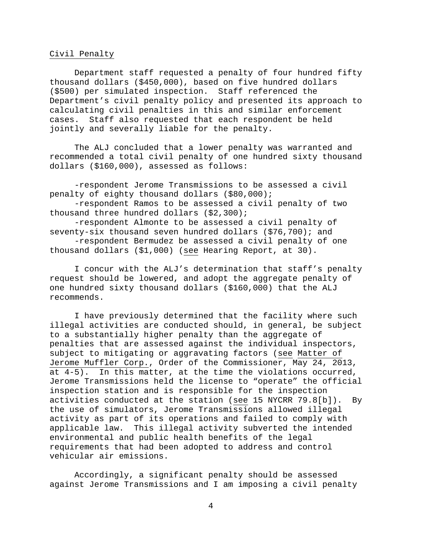### Civil Penalty

Department staff requested a penalty of four hundred fifty thousand dollars (\$450,000), based on five hundred dollars (\$500) per simulated inspection. Staff referenced the Department's civil penalty policy and presented its approach to calculating civil penalties in this and similar enforcement cases. Staff also requested that each respondent be held jointly and severally liable for the penalty.

The ALJ concluded that a lower penalty was warranted and recommended a total civil penalty of one hundred sixty thousand dollars (\$160,000), assessed as follows:

-respondent Jerome Transmissions to be assessed a civil penalty of eighty thousand dollars (\$80,000);

-respondent Ramos to be assessed a civil penalty of two thousand three hundred dollars (\$2,300);

-respondent Almonte to be assessed a civil penalty of seventy-six thousand seven hundred dollars (\$76,700); and

-respondent Bermudez be assessed a civil penalty of one thousand dollars (\$1,000) (see Hearing Report, at 30).

I concur with the ALJ's determination that staff's penalty request should be lowered, and adopt the aggregate penalty of one hundred sixty thousand dollars (\$160,000) that the ALJ recommends.

I have previously determined that the facility where such illegal activities are conducted should, in general, be subject to a substantially higher penalty than the aggregate of penalties that are assessed against the individual inspectors, subject to mitigating or aggravating factors (see Matter of Jerome Muffler Corp., Order of the Commissioner, May 24, 2013, at 4-5). In this matter, at the time the violations occurred, Jerome Transmissions held the license to "operate" the official inspection station and is responsible for the inspection activities conducted at the station (see 15 NYCRR 79.8[b]). By the use of simulators, Jerome Transmissions allowed illegal activity as part of its operations and failed to comply with applicable law. This illegal activity subverted the intended environmental and public health benefits of the legal requirements that had been adopted to address and control vehicular air emissions.

Accordingly, a significant penalty should be assessed against Jerome Transmissions and I am imposing a civil penalty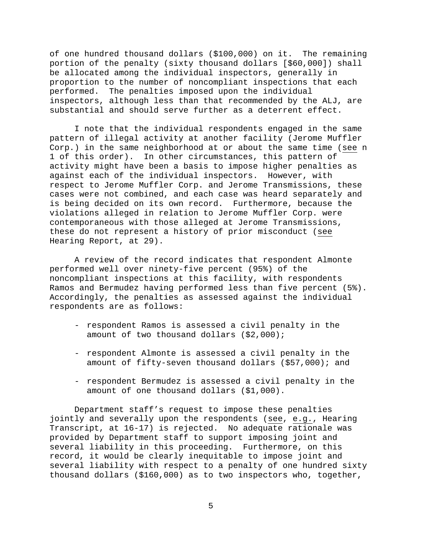of one hundred thousand dollars (\$100,000) on it. The remaining portion of the penalty (sixty thousand dollars [\$60,000]) shall be allocated among the individual inspectors, generally in proportion to the number of noncompliant inspections that each performed. The penalties imposed upon the individual inspectors, although less than that recommended by the ALJ, are substantial and should serve further as a deterrent effect.

I note that the individual respondents engaged in the same pattern of illegal activity at another facility (Jerome Muffler Corp.) in the same neighborhood at or about the same time (see n 1 of this order). In other circumstances, this pattern of activity might have been a basis to impose higher penalties as against each of the individual inspectors. However, with respect to Jerome Muffler Corp. and Jerome Transmissions, these cases were not combined, and each case was heard separately and is being decided on its own record. Furthermore, because the violations alleged in relation to Jerome Muffler Corp. were contemporaneous with those alleged at Jerome Transmissions, these do not represent a history of prior misconduct (see Hearing Report, at 29).

A review of the record indicates that respondent Almonte performed well over ninety-five percent (95%) of the noncompliant inspections at this facility, with respondents Ramos and Bermudez having performed less than five percent (5%). Accordingly, the penalties as assessed against the individual respondents are as follows:

- respondent Ramos is assessed a civil penalty in the amount of two thousand dollars (\$2,000);
- respondent Almonte is assessed a civil penalty in the amount of fifty-seven thousand dollars (\$57,000); and
- respondent Bermudez is assessed a civil penalty in the amount of one thousand dollars (\$1,000).

Department staff's request to impose these penalties jointly and severally upon the respondents (see, e.g., Hearing Transcript, at 16-17) is rejected. No adequate rationale was provided by Department staff to support imposing joint and several liability in this proceeding. Furthermore, on this record, it would be clearly inequitable to impose joint and several liability with respect to a penalty of one hundred sixty thousand dollars (\$160,000) as to two inspectors who, together,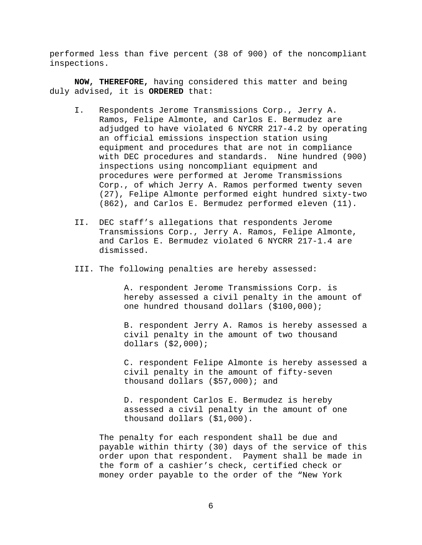performed less than five percent (38 of 900) of the noncompliant inspections.

**NOW, THEREFORE,** having considered this matter and being duly advised, it is **ORDERED** that:

- I. Respondents Jerome Transmissions Corp., Jerry A. Ramos, Felipe Almonte, and Carlos E. Bermudez are adjudged to have violated 6 NYCRR 217-4.2 by operating an official emissions inspection station using equipment and procedures that are not in compliance with DEC procedures and standards. Nine hundred (900) inspections using noncompliant equipment and procedures were performed at Jerome Transmissions Corp., of which Jerry A. Ramos performed twenty seven (27), Felipe Almonte performed eight hundred sixty-two (862), and Carlos E. Bermudez performed eleven (11).
- II. DEC staff's allegations that respondents Jerome Transmissions Corp., Jerry A. Ramos, Felipe Almonte, and Carlos E. Bermudez violated 6 NYCRR 217-1.4 are dismissed.
- III. The following penalties are hereby assessed:

A. respondent Jerome Transmissions Corp. is hereby assessed a civil penalty in the amount of one hundred thousand dollars (\$100,000);

B. respondent Jerry A. Ramos is hereby assessed a civil penalty in the amount of two thousand dollars (\$2,000);

C. respondent Felipe Almonte is hereby assessed a civil penalty in the amount of fifty-seven thousand dollars (\$57,000); and

D. respondent Carlos E. Bermudez is hereby assessed a civil penalty in the amount of one thousand dollars (\$1,000).

The penalty for each respondent shall be due and payable within thirty (30) days of the service of this order upon that respondent. Payment shall be made in the form of a cashier's check, certified check or money order payable to the order of the "New York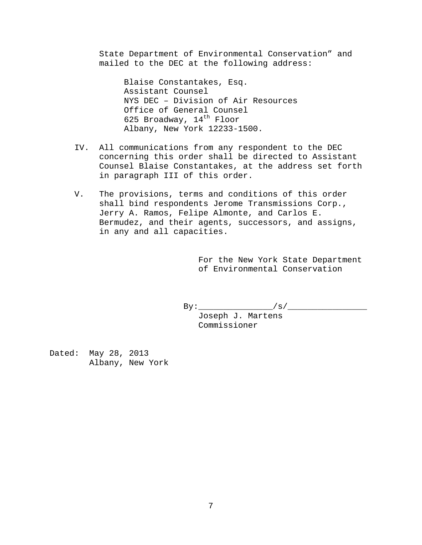State Department of Environmental Conservation" and mailed to the DEC at the following address:

Blaise Constantakes, Esq. Assistant Counsel NYS DEC – Division of Air Resources Office of General Counsel 625 Broadway,  $14^{\text{th}}$  Floor Albany, New York 12233-1500.

- IV. All communications from any respondent to the DEC concerning this order shall be directed to Assistant Counsel Blaise Constantakes, at the address set forth in paragraph III of this order.
- V. The provisions, terms and conditions of this order shall bind respondents Jerome Transmissions Corp., Jerry A. Ramos, Felipe Almonte, and Carlos E. Bermudez, and their agents, successors, and assigns, in any and all capacities.

For the New York State Department of Environmental Conservation

 $\text{By:}\_$ 

 Joseph J. Martens Commissioner

Dated: May 28, 2013 Albany, New York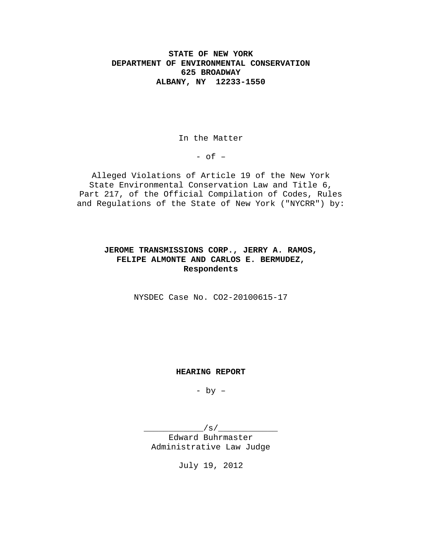# **STATE OF NEW YORK DEPARTMENT OF ENVIRONMENTAL CONSERVATION 625 BROADWAY ALBANY, NY 12233-1550**

In the Matter

 $-$  of  $-$ 

Alleged Violations of Article 19 of the New York State Environmental Conservation Law and Title 6, Part 217, of the Official Compilation of Codes, Rules and Regulations of the State of New York ("NYCRR") by:

# **JEROME TRANSMISSIONS CORP., JERRY A. RAMOS, FELIPE ALMONTE AND CARLOS E. BERMUDEZ, Respondents**

NYSDEC Case No. CO2-20100615-17

### **HEARING REPORT**

- by –

\_\_\_\_\_\_\_\_\_\_\_\_/s/\_\_\_\_\_\_\_\_\_\_\_\_ Edward Buhrmaster Administrative Law Judge

July 19, 2012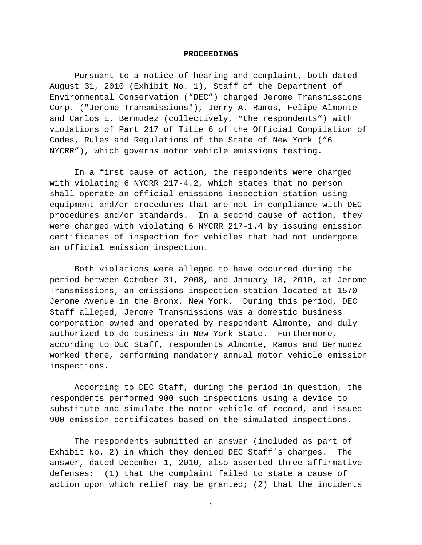#### **PROCEEDINGS**

Pursuant to a notice of hearing and complaint, both dated August 31, 2010 (Exhibit No. 1), Staff of the Department of Environmental Conservation ("DEC") charged Jerome Transmissions Corp. ("Jerome Transmissions"), Jerry A. Ramos, Felipe Almonte and Carlos E. Bermudez (collectively, "the respondents") with violations of Part 217 of Title 6 of the Official Compilation of Codes, Rules and Regulations of the State of New York ("6 NYCRR"), which governs motor vehicle emissions testing.

In a first cause of action, the respondents were charged with violating 6 NYCRR 217-4.2, which states that no person shall operate an official emissions inspection station using equipment and/or procedures that are not in compliance with DEC procedures and/or standards. In a second cause of action, they were charged with violating 6 NYCRR 217-1.4 by issuing emission certificates of inspection for vehicles that had not undergone an official emission inspection.

Both violations were alleged to have occurred during the period between October 31, 2008, and January 18, 2010, at Jerome Transmissions, an emissions inspection station located at 1570 Jerome Avenue in the Bronx, New York. During this period, DEC Staff alleged, Jerome Transmissions was a domestic business corporation owned and operated by respondent Almonte, and duly authorized to do business in New York State. Furthermore, according to DEC Staff, respondents Almonte, Ramos and Bermudez worked there, performing mandatory annual motor vehicle emission inspections.

According to DEC Staff, during the period in question, the respondents performed 900 such inspections using a device to substitute and simulate the motor vehicle of record, and issued 900 emission certificates based on the simulated inspections.

The respondents submitted an answer (included as part of Exhibit No. 2) in which they denied DEC Staff's charges. The answer, dated December 1, 2010, also asserted three affirmative defenses: (1) that the complaint failed to state a cause of action upon which relief may be granted; (2) that the incidents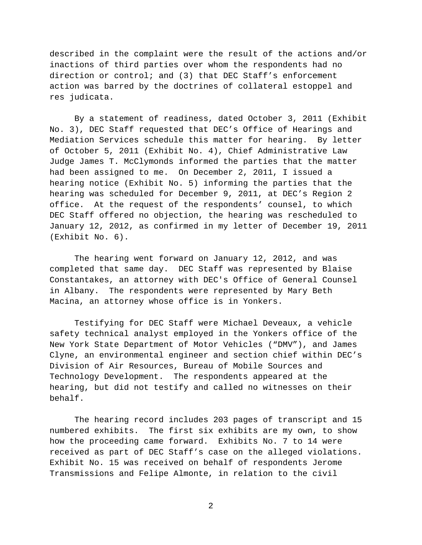described in the complaint were the result of the actions and/or inactions of third parties over whom the respondents had no direction or control; and (3) that DEC Staff's enforcement action was barred by the doctrines of collateral estoppel and res judicata.

By a statement of readiness, dated October 3, 2011 (Exhibit No. 3), DEC Staff requested that DEC's Office of Hearings and Mediation Services schedule this matter for hearing. By letter of October 5, 2011 (Exhibit No. 4), Chief Administrative Law Judge James T. McClymonds informed the parties that the matter had been assigned to me. On December 2, 2011, I issued a hearing notice (Exhibit No. 5) informing the parties that the hearing was scheduled for December 9, 2011, at DEC's Region 2 office. At the request of the respondents' counsel, to which DEC Staff offered no objection, the hearing was rescheduled to January 12, 2012, as confirmed in my letter of December 19, 2011 (Exhibit No. 6).

The hearing went forward on January 12, 2012, and was completed that same day. DEC Staff was represented by Blaise Constantakes, an attorney with DEC's Office of General Counsel in Albany. The respondents were represented by Mary Beth Macina, an attorney whose office is in Yonkers.

Testifying for DEC Staff were Michael Deveaux, a vehicle safety technical analyst employed in the Yonkers office of the New York State Department of Motor Vehicles ("DMV"), and James Clyne, an environmental engineer and section chief within DEC's Division of Air Resources, Bureau of Mobile Sources and Technology Development. The respondents appeared at the hearing, but did not testify and called no witnesses on their behalf.

The hearing record includes 203 pages of transcript and 15 numbered exhibits. The first six exhibits are my own, to show how the proceeding came forward. Exhibits No. 7 to 14 were received as part of DEC Staff's case on the alleged violations. Exhibit No. 15 was received on behalf of respondents Jerome Transmissions and Felipe Almonte, in relation to the civil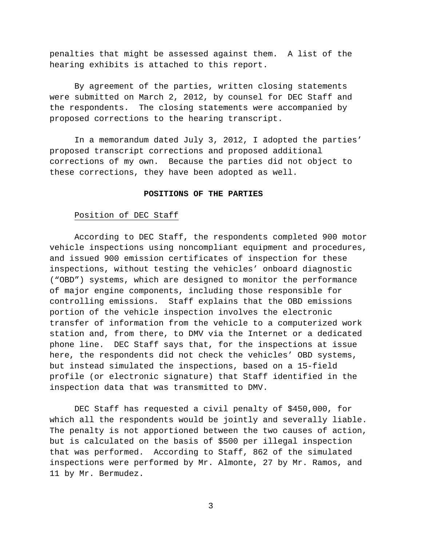penalties that might be assessed against them. A list of the hearing exhibits is attached to this report.

By agreement of the parties, written closing statements were submitted on March 2, 2012, by counsel for DEC Staff and the respondents. The closing statements were accompanied by proposed corrections to the hearing transcript.

In a memorandum dated July 3, 2012, I adopted the parties' proposed transcript corrections and proposed additional corrections of my own. Because the parties did not object to these corrections, they have been adopted as well.

## **POSITIONS OF THE PARTIES**

## Position of DEC Staff

 According to DEC Staff, the respondents completed 900 motor vehicle inspections using noncompliant equipment and procedures, and issued 900 emission certificates of inspection for these inspections, without testing the vehicles' onboard diagnostic ("OBD") systems, which are designed to monitor the performance of major engine components, including those responsible for controlling emissions. Staff explains that the OBD emissions portion of the vehicle inspection involves the electronic transfer of information from the vehicle to a computerized work station and, from there, to DMV via the Internet or a dedicated phone line. DEC Staff says that, for the inspections at issue here, the respondents did not check the vehicles' OBD systems, but instead simulated the inspections, based on a 15-field profile (or electronic signature) that Staff identified in the inspection data that was transmitted to DMV.

 DEC Staff has requested a civil penalty of \$450,000, for which all the respondents would be jointly and severally liable. The penalty is not apportioned between the two causes of action, but is calculated on the basis of \$500 per illegal inspection that was performed. According to Staff, 862 of the simulated inspections were performed by Mr. Almonte, 27 by Mr. Ramos, and 11 by Mr. Bermudez.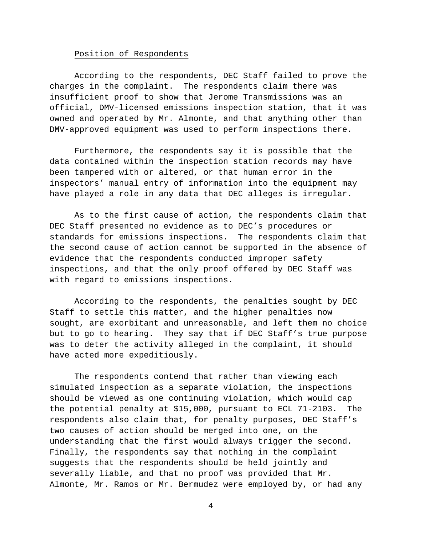#### Position of Respondents

 According to the respondents, DEC Staff failed to prove the charges in the complaint. The respondents claim there was insufficient proof to show that Jerome Transmissions was an official, DMV-licensed emissions inspection station, that it was owned and operated by Mr. Almonte, and that anything other than DMV-approved equipment was used to perform inspections there.

Furthermore, the respondents say it is possible that the data contained within the inspection station records may have been tampered with or altered, or that human error in the inspectors' manual entry of information into the equipment may have played a role in any data that DEC alleges is irregular.

As to the first cause of action, the respondents claim that DEC Staff presented no evidence as to DEC's procedures or standards for emissions inspections. The respondents claim that the second cause of action cannot be supported in the absence of evidence that the respondents conducted improper safety inspections, and that the only proof offered by DEC Staff was with regard to emissions inspections.

According to the respondents, the penalties sought by DEC Staff to settle this matter, and the higher penalties now sought, are exorbitant and unreasonable, and left them no choice but to go to hearing. They say that if DEC Staff's true purpose was to deter the activity alleged in the complaint, it should have acted more expeditiously.

The respondents contend that rather than viewing each simulated inspection as a separate violation, the inspections should be viewed as one continuing violation, which would cap the potential penalty at \$15,000, pursuant to ECL 71-2103. The respondents also claim that, for penalty purposes, DEC Staff's two causes of action should be merged into one, on the understanding that the first would always trigger the second. Finally, the respondents say that nothing in the complaint suggests that the respondents should be held jointly and severally liable, and that no proof was provided that Mr. Almonte, Mr. Ramos or Mr. Bermudez were employed by, or had any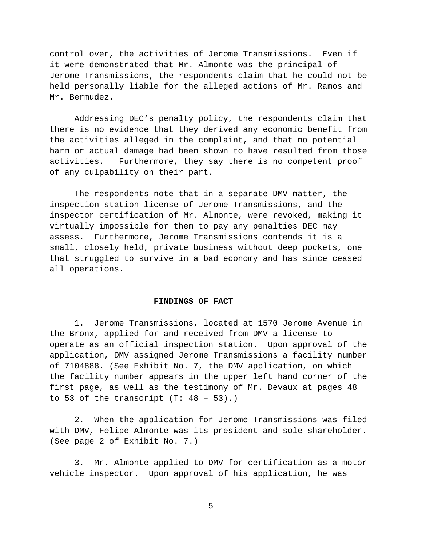control over, the activities of Jerome Transmissions. Even if it were demonstrated that Mr. Almonte was the principal of Jerome Transmissions, the respondents claim that he could not be held personally liable for the alleged actions of Mr. Ramos and Mr. Bermudez.

Addressing DEC's penalty policy, the respondents claim that there is no evidence that they derived any economic benefit from the activities alleged in the complaint, and that no potential harm or actual damage had been shown to have resulted from those activities. Furthermore, they say there is no competent proof of any culpability on their part.

The respondents note that in a separate DMV matter, the inspection station license of Jerome Transmissions, and the inspector certification of Mr. Almonte, were revoked, making it virtually impossible for them to pay any penalties DEC may assess. Furthermore, Jerome Transmissions contends it is a small, closely held, private business without deep pockets, one that struggled to survive in a bad economy and has since ceased all operations.

#### **FINDINGS OF FACT**

 1. Jerome Transmissions, located at 1570 Jerome Avenue in the Bronx, applied for and received from DMV a license to operate as an official inspection station. Upon approval of the application, DMV assigned Jerome Transmissions a facility number of 7104888. (See Exhibit No. 7, the DMV application, on which the facility number appears in the upper left hand corner of the first page, as well as the testimony of Mr. Devaux at pages 48 to 53 of the transcript  $(T: 48 - 53)$ .)

 2. When the application for Jerome Transmissions was filed with DMV, Felipe Almonte was its president and sole shareholder. (See page 2 of Exhibit No. 7.)

3. Mr. Almonte applied to DMV for certification as a motor vehicle inspector. Upon approval of his application, he was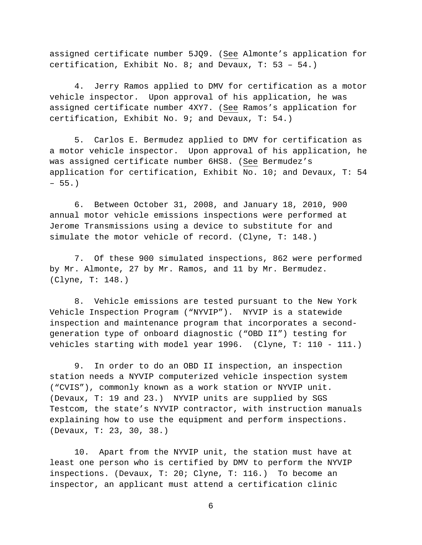assigned certificate number 5JQ9. (See Almonte's application for certification, Exhibit No. 8; and Devaux, T: 53 – 54.)

4. Jerry Ramos applied to DMV for certification as a motor vehicle inspector. Upon approval of his application, he was assigned certificate number 4XY7. (See Ramos's application for certification, Exhibit No. 9; and Devaux, T: 54.)

5. Carlos E. Bermudez applied to DMV for certification as a motor vehicle inspector. Upon approval of his application, he was assigned certificate number 6HS8. (See Bermudez's application for certification, Exhibit No. 10; and Devaux, T: 54  $-55.$ 

6. Between October 31, 2008, and January 18, 2010, 900 annual motor vehicle emissions inspections were performed at Jerome Transmissions using a device to substitute for and simulate the motor vehicle of record. (Clyne, T: 148.)

7. Of these 900 simulated inspections, 862 were performed by Mr. Almonte, 27 by Mr. Ramos, and 11 by Mr. Bermudez. (Clyne, T: 148.)

8. Vehicle emissions are tested pursuant to the New York Vehicle Inspection Program ("NYVIP"). NYVIP is a statewide inspection and maintenance program that incorporates a secondgeneration type of onboard diagnostic ("OBD II") testing for vehicles starting with model year 1996. (Clyne, T: 110 - 111.)

9. In order to do an OBD II inspection, an inspection station needs a NYVIP computerized vehicle inspection system ("CVIS"), commonly known as a work station or NYVIP unit. (Devaux, T: 19 and 23.) NYVIP units are supplied by SGS Testcom, the state's NYVIP contractor, with instruction manuals explaining how to use the equipment and perform inspections. (Devaux, T: 23, 30, 38.)

10. Apart from the NYVIP unit, the station must have at least one person who is certified by DMV to perform the NYVIP inspections. (Devaux, T: 20; Clyne, T: 116.) To become an inspector, an applicant must attend a certification clinic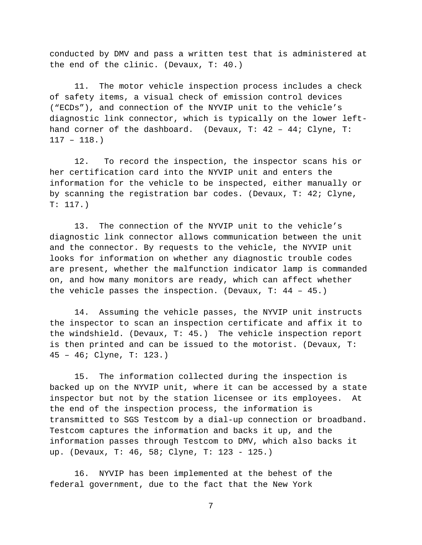conducted by DMV and pass a written test that is administered at the end of the clinic. (Devaux, T: 40.)

11. The motor vehicle inspection process includes a check of safety items, a visual check of emission control devices ("ECDs"), and connection of the NYVIP unit to the vehicle's diagnostic link connector, which is typically on the lower lefthand corner of the dashboard. (Devaux,  $T: 42 - 44$ ; Clyne,  $T:$  $117 - 118.$ 

12. To record the inspection, the inspector scans his or her certification card into the NYVIP unit and enters the information for the vehicle to be inspected, either manually or by scanning the registration bar codes. (Devaux, T: 42; Clyne, T: 117.)

13. The connection of the NYVIP unit to the vehicle's diagnostic link connector allows communication between the unit and the connector. By requests to the vehicle, the NYVIP unit looks for information on whether any diagnostic trouble codes are present, whether the malfunction indicator lamp is commanded on, and how many monitors are ready, which can affect whether the vehicle passes the inspection. (Devaux, T: 44 – 45.)

14. Assuming the vehicle passes, the NYVIP unit instructs the inspector to scan an inspection certificate and affix it to the windshield. (Devaux, T: 45.) The vehicle inspection report is then printed and can be issued to the motorist. (Devaux, T: 45 – 46; Clyne, T: 123.)

15. The information collected during the inspection is backed up on the NYVIP unit, where it can be accessed by a state inspector but not by the station licensee or its employees. At the end of the inspection process, the information is transmitted to SGS Testcom by a dial-up connection or broadband. Testcom captures the information and backs it up, and the information passes through Testcom to DMV, which also backs it up. (Devaux, T: 46, 58; Clyne, T: 123 - 125.)

16. NYVIP has been implemented at the behest of the federal government, due to the fact that the New York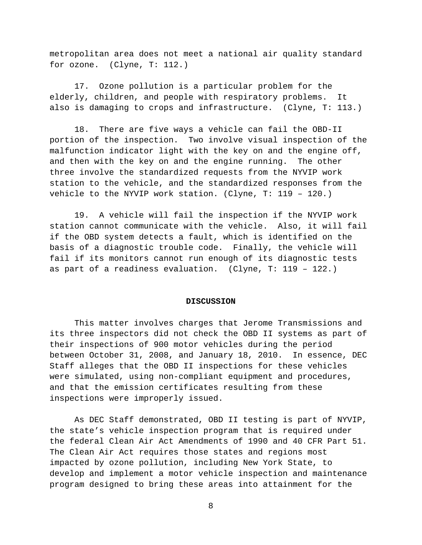metropolitan area does not meet a national air quality standard for ozone. (Clyne, T: 112.)

17. Ozone pollution is a particular problem for the elderly, children, and people with respiratory problems. It also is damaging to crops and infrastructure. (Clyne, T: 113.)

18. There are five ways a vehicle can fail the OBD-II portion of the inspection. Two involve visual inspection of the malfunction indicator light with the key on and the engine off, and then with the key on and the engine running. The other three involve the standardized requests from the NYVIP work station to the vehicle, and the standardized responses from the vehicle to the NYVIP work station. (Clyne, T: 119 – 120.)

19. A vehicle will fail the inspection if the NYVIP work station cannot communicate with the vehicle. Also, it will fail if the OBD system detects a fault, which is identified on the basis of a diagnostic trouble code. Finally, the vehicle will fail if its monitors cannot run enough of its diagnostic tests as part of a readiness evaluation. (Clyne, T: 119 – 122.)

#### **DISCUSSION**

 This matter involves charges that Jerome Transmissions and its three inspectors did not check the OBD II systems as part of their inspections of 900 motor vehicles during the period between October 31, 2008, and January 18, 2010. In essence, DEC Staff alleges that the OBD II inspections for these vehicles were simulated, using non-compliant equipment and procedures, and that the emission certificates resulting from these inspections were improperly issued.

As DEC Staff demonstrated, OBD II testing is part of NYVIP, the state's vehicle inspection program that is required under the federal Clean Air Act Amendments of 1990 and 40 CFR Part 51. The Clean Air Act requires those states and regions most impacted by ozone pollution, including New York State, to develop and implement a motor vehicle inspection and maintenance program designed to bring these areas into attainment for the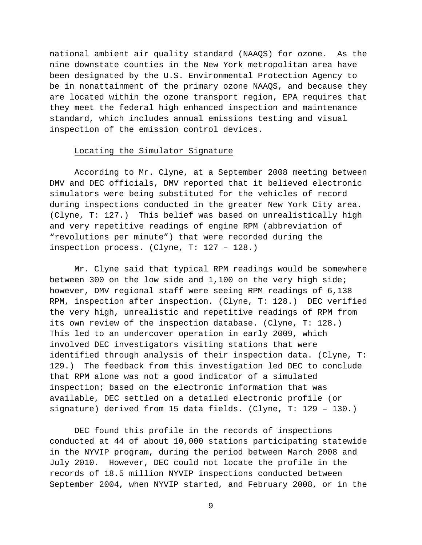national ambient air quality standard (NAAQS) for ozone. As the nine downstate counties in the New York metropolitan area have been designated by the U.S. Environmental Protection Agency to be in nonattainment of the primary ozone NAAQS, and because they are located within the ozone transport region, EPA requires that they meet the federal high enhanced inspection and maintenance standard, which includes annual emissions testing and visual inspection of the emission control devices.

## Locating the Simulator Signature

According to Mr. Clyne, at a September 2008 meeting between DMV and DEC officials, DMV reported that it believed electronic simulators were being substituted for the vehicles of record during inspections conducted in the greater New York City area. (Clyne, T: 127.) This belief was based on unrealistically high and very repetitive readings of engine RPM (abbreviation of "revolutions per minute") that were recorded during the inspection process. (Clyne, T: 127 – 128.)

Mr. Clyne said that typical RPM readings would be somewhere between 300 on the low side and 1,100 on the very high side; however, DMV regional staff were seeing RPM readings of 6,138 RPM, inspection after inspection. (Clyne, T: 128.) DEC verified the very high, unrealistic and repetitive readings of RPM from its own review of the inspection database. (Clyne, T: 128.) This led to an undercover operation in early 2009, which involved DEC investigators visiting stations that were identified through analysis of their inspection data. (Clyne, T: 129.) The feedback from this investigation led DEC to conclude that RPM alone was not a good indicator of a simulated inspection; based on the electronic information that was available, DEC settled on a detailed electronic profile (or signature) derived from 15 data fields. (Clyne, T: 129 – 130.)

DEC found this profile in the records of inspections conducted at 44 of about 10,000 stations participating statewide in the NYVIP program, during the period between March 2008 and July 2010. However, DEC could not locate the profile in the records of 18.5 million NYVIP inspections conducted between September 2004, when NYVIP started, and February 2008, or in the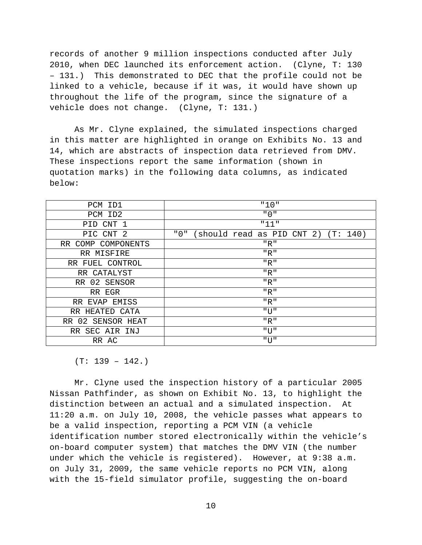records of another 9 million inspections conducted after July 2010, when DEC launched its enforcement action. (Clyne, T: 130 – 131.) This demonstrated to DEC that the profile could not be linked to a vehicle, because if it was, it would have shown up throughout the life of the program, since the signature of a vehicle does not change. (Clyne, T: 131.)

As Mr. Clyne explained, the simulated inspections charged in this matter are highlighted in orange on Exhibits No. 13 and 14, which are abstracts of inspection data retrieved from DMV. These inspections report the same information (shown in quotation marks) in the following data columns, as indicated below:

| PCM<br>ID1                   | "10"                                        |
|------------------------------|---------------------------------------------|
| PCM ID2                      | " 0 "                                       |
| CNT<br>$\overline{1}$<br>PID | "11"                                        |
| PIC CNT 2                    | " 0 "<br>should read as PID CNT 2) (T: 140) |
| RR COMP COMPONENTS           | "R"                                         |
| RR MISFIRE                   | "R"                                         |
| RR FUEL CONTROL              | "R"                                         |
| RR CATALYST                  | "R"                                         |
| RR 02<br><b>SENSOR</b>       | "R"                                         |
| RR EGR                       | "R"                                         |
| RR EVAP<br>EMISS             | "R"                                         |
| RR HEATED CATA               | "U"                                         |
| 02<br>SENSOR HEAT<br>RR      | "R"                                         |
| RR SEC AIR INJ               | "U"                                         |
| RR AC                        | "U"                                         |

(T: 139 – 142.)

Mr. Clyne used the inspection history of a particular 2005 Nissan Pathfinder, as shown on Exhibit No. 13, to highlight the distinction between an actual and a simulated inspection. At 11:20 a.m. on July 10, 2008, the vehicle passes what appears to be a valid inspection, reporting a PCM VIN (a vehicle identification number stored electronically within the vehicle's on-board computer system) that matches the DMV VIN (the number under which the vehicle is registered). However, at 9:38 a.m. on July 31, 2009, the same vehicle reports no PCM VIN, along with the 15-field simulator profile, suggesting the on-board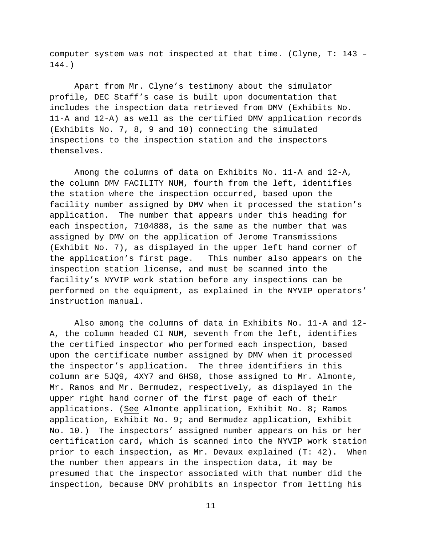computer system was not inspected at that time. (Clyne, T: 143 – 144.)

Apart from Mr. Clyne's testimony about the simulator profile, DEC Staff's case is built upon documentation that includes the inspection data retrieved from DMV (Exhibits No. 11-A and 12-A) as well as the certified DMV application records (Exhibits No. 7, 8, 9 and 10) connecting the simulated inspections to the inspection station and the inspectors themselves.

Among the columns of data on Exhibits No. 11-A and 12-A, the column DMV FACILITY NUM, fourth from the left, identifies the station where the inspection occurred, based upon the facility number assigned by DMV when it processed the station's application. The number that appears under this heading for each inspection, 7104888, is the same as the number that was assigned by DMV on the application of Jerome Transmissions (Exhibit No. 7), as displayed in the upper left hand corner of the application's first page. This number also appears on the inspection station license, and must be scanned into the facility's NYVIP work station before any inspections can be performed on the equipment, as explained in the NYVIP operators' instruction manual.

Also among the columns of data in Exhibits No. 11-A and 12- A, the column headed CI NUM, seventh from the left, identifies the certified inspector who performed each inspection, based upon the certificate number assigned by DMV when it processed the inspector's application. The three identifiers in this column are 5JQ9, 4XY7 and 6HS8, those assigned to Mr. Almonte, Mr. Ramos and Mr. Bermudez, respectively, as displayed in the upper right hand corner of the first page of each of their applications. (See Almonte application, Exhibit No. 8; Ramos application, Exhibit No. 9; and Bermudez application, Exhibit No. 10.) The inspectors' assigned number appears on his or her certification card, which is scanned into the NYVIP work station prior to each inspection, as Mr. Devaux explained (T: 42). When the number then appears in the inspection data, it may be presumed that the inspector associated with that number did the inspection, because DMV prohibits an inspector from letting his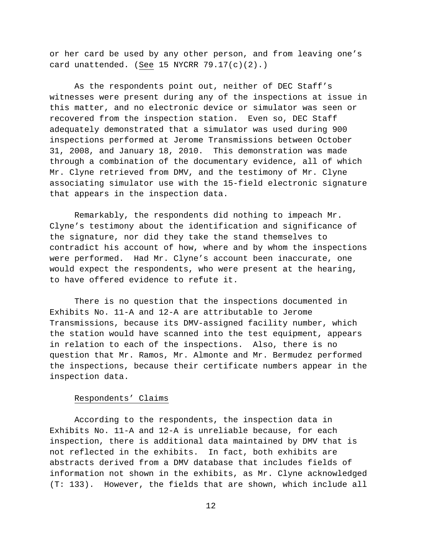or her card be used by any other person, and from leaving one's card unattended. (See 15 NYCRR  $79.17(c)(2)$ .)

As the respondents point out, neither of DEC Staff's witnesses were present during any of the inspections at issue in this matter, and no electronic device or simulator was seen or recovered from the inspection station. Even so, DEC Staff adequately demonstrated that a simulator was used during 900 inspections performed at Jerome Transmissions between October 31, 2008, and January 18, 2010. This demonstration was made through a combination of the documentary evidence, all of which Mr. Clyne retrieved from DMV, and the testimony of Mr. Clyne associating simulator use with the 15-field electronic signature that appears in the inspection data.

Remarkably, the respondents did nothing to impeach Mr. Clyne's testimony about the identification and significance of the signature, nor did they take the stand themselves to contradict his account of how, where and by whom the inspections were performed. Had Mr. Clyne's account been inaccurate, one would expect the respondents, who were present at the hearing, to have offered evidence to refute it.

There is no question that the inspections documented in Exhibits No. 11-A and 12-A are attributable to Jerome Transmissions, because its DMV-assigned facility number, which the station would have scanned into the test equipment, appears in relation to each of the inspections. Also, there is no question that Mr. Ramos, Mr. Almonte and Mr. Bermudez performed the inspections, because their certificate numbers appear in the inspection data.

### Respondents' Claims

According to the respondents, the inspection data in Exhibits No. 11-A and 12-A is unreliable because, for each inspection, there is additional data maintained by DMV that is not reflected in the exhibits. In fact, both exhibits are abstracts derived from a DMV database that includes fields of information not shown in the exhibits, as Mr. Clyne acknowledged (T: 133). However, the fields that are shown, which include all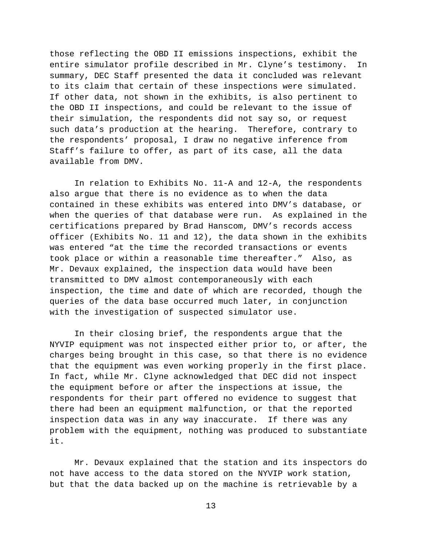those reflecting the OBD II emissions inspections, exhibit the entire simulator profile described in Mr. Clyne's testimony. In summary, DEC Staff presented the data it concluded was relevant to its claim that certain of these inspections were simulated. If other data, not shown in the exhibits, is also pertinent to the OBD II inspections, and could be relevant to the issue of their simulation, the respondents did not say so, or request such data's production at the hearing. Therefore, contrary to the respondents' proposal, I draw no negative inference from Staff's failure to offer, as part of its case, all the data available from DMV.

In relation to Exhibits No. 11-A and 12-A, the respondents also argue that there is no evidence as to when the data contained in these exhibits was entered into DMV's database, or when the queries of that database were run. As explained in the certifications prepared by Brad Hanscom, DMV's records access officer (Exhibits No. 11 and 12), the data shown in the exhibits was entered "at the time the recorded transactions or events took place or within a reasonable time thereafter." Also, as Mr. Devaux explained, the inspection data would have been transmitted to DMV almost contemporaneously with each inspection, the time and date of which are recorded, though the queries of the data base occurred much later, in conjunction with the investigation of suspected simulator use.

In their closing brief, the respondents argue that the NYVIP equipment was not inspected either prior to, or after, the charges being brought in this case, so that there is no evidence that the equipment was even working properly in the first place. In fact, while Mr. Clyne acknowledged that DEC did not inspect the equipment before or after the inspections at issue, the respondents for their part offered no evidence to suggest that there had been an equipment malfunction, or that the reported inspection data was in any way inaccurate. If there was any problem with the equipment, nothing was produced to substantiate it.

Mr. Devaux explained that the station and its inspectors do not have access to the data stored on the NYVIP work station, but that the data backed up on the machine is retrievable by a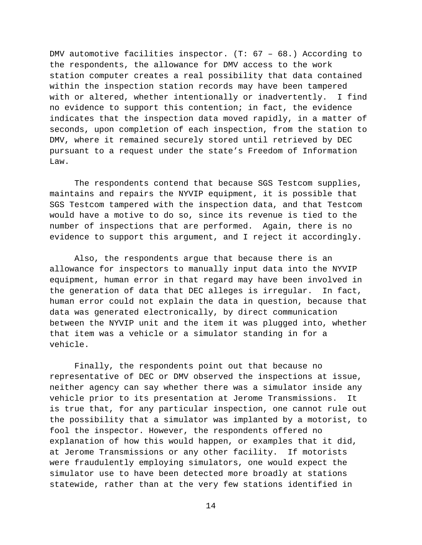DMV automotive facilities inspector. (T: 67 – 68.) According to the respondents, the allowance for DMV access to the work station computer creates a real possibility that data contained within the inspection station records may have been tampered with or altered, whether intentionally or inadvertently. I find no evidence to support this contention; in fact, the evidence indicates that the inspection data moved rapidly, in a matter of seconds, upon completion of each inspection, from the station to DMV, where it remained securely stored until retrieved by DEC pursuant to a request under the state's Freedom of Information Law.

The respondents contend that because SGS Testcom supplies, maintains and repairs the NYVIP equipment, it is possible that SGS Testcom tampered with the inspection data, and that Testcom would have a motive to do so, since its revenue is tied to the number of inspections that are performed. Again, there is no evidence to support this argument, and I reject it accordingly.

Also, the respondents argue that because there is an allowance for inspectors to manually input data into the NYVIP equipment, human error in that regard may have been involved in the generation of data that DEC alleges is irregular. In fact, human error could not explain the data in question, because that data was generated electronically, by direct communication between the NYVIP unit and the item it was plugged into, whether that item was a vehicle or a simulator standing in for a vehicle.

Finally, the respondents point out that because no representative of DEC or DMV observed the inspections at issue, neither agency can say whether there was a simulator inside any vehicle prior to its presentation at Jerome Transmissions. It is true that, for any particular inspection, one cannot rule out the possibility that a simulator was implanted by a motorist, to fool the inspector. However, the respondents offered no explanation of how this would happen, or examples that it did, at Jerome Transmissions or any other facility. If motorists were fraudulently employing simulators, one would expect the simulator use to have been detected more broadly at stations statewide, rather than at the very few stations identified in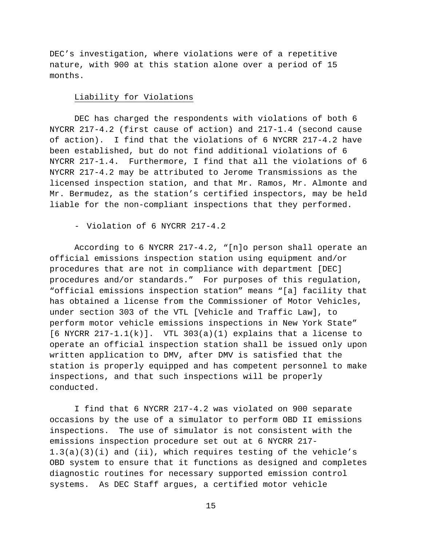DEC's investigation, where violations were of a repetitive nature, with 900 at this station alone over a period of 15 months.

## Liability for Violations

DEC has charged the respondents with violations of both 6 NYCRR 217-4.2 (first cause of action) and 217-1.4 (second cause of action). I find that the violations of 6 NYCRR 217-4.2 have been established, but do not find additional violations of 6 NYCRR 217-1.4. Furthermore, I find that all the violations of 6 NYCRR 217-4.2 may be attributed to Jerome Transmissions as the licensed inspection station, and that Mr. Ramos, Mr. Almonte and Mr. Bermudez, as the station's certified inspectors, may be held liable for the non-compliant inspections that they performed.

- Violation of 6 NYCRR 217-4.2

According to 6 NYCRR 217-4.2, "[n]o person shall operate an official emissions inspection station using equipment and/or procedures that are not in compliance with department [DEC] procedures and/or standards." For purposes of this regulation, "official emissions inspection station" means "[a] facility that has obtained a license from the Commissioner of Motor Vehicles, under section 303 of the VTL [Vehicle and Traffic Law], to perform motor vehicle emissions inspections in New York State"  $[6$  NYCRR 217-1.1(k)]. VTL 303(a)(1) explains that a license to operate an official inspection station shall be issued only upon written application to DMV, after DMV is satisfied that the station is properly equipped and has competent personnel to make inspections, and that such inspections will be properly conducted.

I find that 6 NYCRR 217-4.2 was violated on 900 separate occasions by the use of a simulator to perform OBD II emissions inspections. The use of simulator is not consistent with the emissions inspection procedure set out at 6 NYCRR 217- 1.3(a)(3)(i) and (ii), which requires testing of the vehicle's OBD system to ensure that it functions as designed and completes diagnostic routines for necessary supported emission control systems. As DEC Staff argues, a certified motor vehicle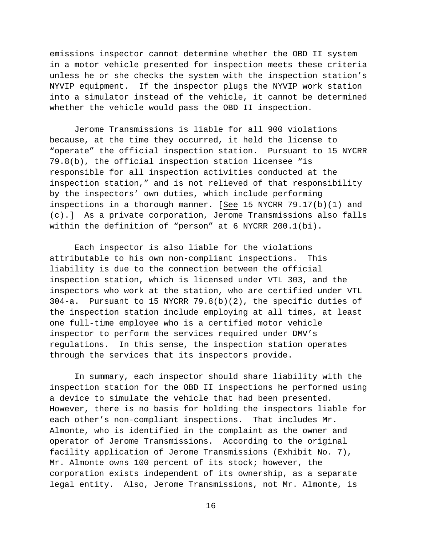emissions inspector cannot determine whether the OBD II system in a motor vehicle presented for inspection meets these criteria unless he or she checks the system with the inspection station's NYVIP equipment. If the inspector plugs the NYVIP work station into a simulator instead of the vehicle, it cannot be determined whether the vehicle would pass the OBD II inspection.

Jerome Transmissions is liable for all 900 violations because, at the time they occurred, it held the license to "operate" the official inspection station. Pursuant to 15 NYCRR 79.8(b), the official inspection station licensee "is responsible for all inspection activities conducted at the inspection station," and is not relieved of that responsibility by the inspectors' own duties, which include performing inspections in a thorough manner. [See 15 NYCRR 79.17(b)(1) and (c).] As a private corporation, Jerome Transmissions also falls within the definition of "person" at 6 NYCRR 200.1(bi).

Each inspector is also liable for the violations attributable to his own non-compliant inspections. This liability is due to the connection between the official inspection station, which is licensed under VTL 303, and the inspectors who work at the station, who are certified under VTL 304-a. Pursuant to 15 NYCRR 79.8(b)(2), the specific duties of the inspection station include employing at all times, at least one full-time employee who is a certified motor vehicle inspector to perform the services required under DMV's regulations. In this sense, the inspection station operates through the services that its inspectors provide.

In summary, each inspector should share liability with the inspection station for the OBD II inspections he performed using a device to simulate the vehicle that had been presented. However, there is no basis for holding the inspectors liable for each other's non-compliant inspections. That includes Mr. Almonte, who is identified in the complaint as the owner and operator of Jerome Transmissions. According to the original facility application of Jerome Transmissions (Exhibit No. 7), Mr. Almonte owns 100 percent of its stock; however, the corporation exists independent of its ownership, as a separate legal entity. Also, Jerome Transmissions, not Mr. Almonte, is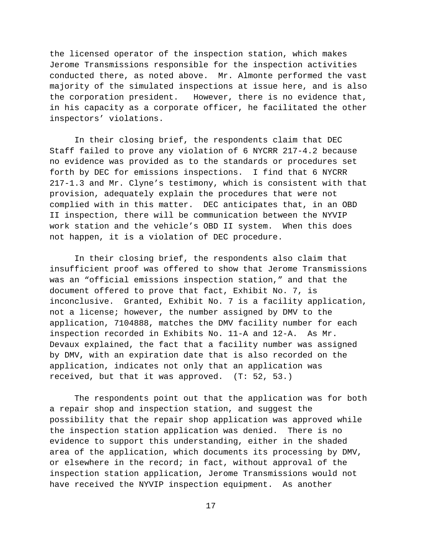the licensed operator of the inspection station, which makes Jerome Transmissions responsible for the inspection activities conducted there, as noted above. Mr. Almonte performed the vast majority of the simulated inspections at issue here, and is also the corporation president. However, there is no evidence that, in his capacity as a corporate officer, he facilitated the other inspectors' violations.

In their closing brief, the respondents claim that DEC Staff failed to prove any violation of 6 NYCRR 217-4.2 because no evidence was provided as to the standards or procedures set forth by DEC for emissions inspections. I find that 6 NYCRR 217-1.3 and Mr. Clyne's testimony, which is consistent with that provision, adequately explain the procedures that were not complied with in this matter. DEC anticipates that, in an OBD II inspection, there will be communication between the NYVIP work station and the vehicle's OBD II system. When this does not happen, it is a violation of DEC procedure.

In their closing brief, the respondents also claim that insufficient proof was offered to show that Jerome Transmissions was an "official emissions inspection station," and that the document offered to prove that fact, Exhibit No. 7, is inconclusive. Granted, Exhibit No. 7 is a facility application, not a license; however, the number assigned by DMV to the application, 7104888, matches the DMV facility number for each inspection recorded in Exhibits No. 11-A and 12-A. As Mr. Devaux explained, the fact that a facility number was assigned by DMV, with an expiration date that is also recorded on the application, indicates not only that an application was received, but that it was approved. (T: 52, 53.)

The respondents point out that the application was for both a repair shop and inspection station, and suggest the possibility that the repair shop application was approved while the inspection station application was denied. There is no evidence to support this understanding, either in the shaded area of the application, which documents its processing by DMV, or elsewhere in the record; in fact, without approval of the inspection station application, Jerome Transmissions would not have received the NYVIP inspection equipment. As another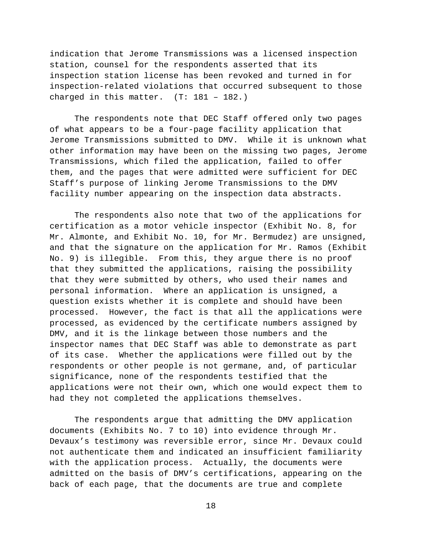indication that Jerome Transmissions was a licensed inspection station, counsel for the respondents asserted that its inspection station license has been revoked and turned in for inspection-related violations that occurred subsequent to those charged in this matter. (T: 181 – 182.)

The respondents note that DEC Staff offered only two pages of what appears to be a four-page facility application that Jerome Transmissions submitted to DMV. While it is unknown what other information may have been on the missing two pages, Jerome Transmissions, which filed the application, failed to offer them, and the pages that were admitted were sufficient for DEC Staff's purpose of linking Jerome Transmissions to the DMV facility number appearing on the inspection data abstracts.

The respondents also note that two of the applications for certification as a motor vehicle inspector (Exhibit No. 8, for Mr. Almonte, and Exhibit No. 10, for Mr. Bermudez) are unsigned, and that the signature on the application for Mr. Ramos (Exhibit No. 9) is illegible. From this, they argue there is no proof that they submitted the applications, raising the possibility that they were submitted by others, who used their names and personal information. Where an application is unsigned, a question exists whether it is complete and should have been processed. However, the fact is that all the applications were processed, as evidenced by the certificate numbers assigned by DMV, and it is the linkage between those numbers and the inspector names that DEC Staff was able to demonstrate as part of its case. Whether the applications were filled out by the respondents or other people is not germane, and, of particular significance, none of the respondents testified that the applications were not their own, which one would expect them to had they not completed the applications themselves.

The respondents argue that admitting the DMV application documents (Exhibits No. 7 to 10) into evidence through Mr. Devaux's testimony was reversible error, since Mr. Devaux could not authenticate them and indicated an insufficient familiarity with the application process. Actually, the documents were admitted on the basis of DMV's certifications, appearing on the back of each page, that the documents are true and complete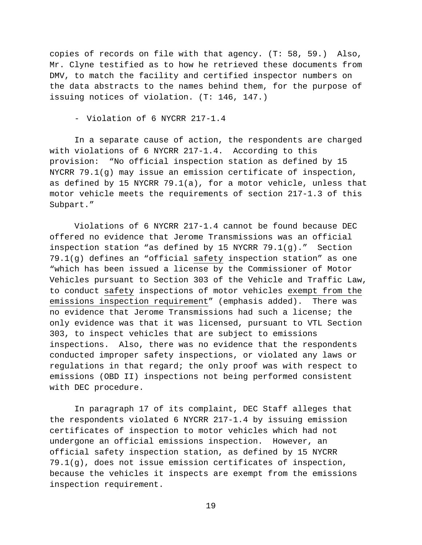copies of records on file with that agency. (T: 58, 59.) Also, Mr. Clyne testified as to how he retrieved these documents from DMV, to match the facility and certified inspector numbers on the data abstracts to the names behind them, for the purpose of issuing notices of violation. (T: 146, 147.)

- Violation of 6 NYCRR 217-1.4

In a separate cause of action, the respondents are charged with violations of 6 NYCRR 217-1.4. According to this provision: "No official inspection station as defined by 15 NYCRR 79.1(g) may issue an emission certificate of inspection, as defined by 15 NYCRR 79.1(a), for a motor vehicle, unless that motor vehicle meets the requirements of section 217-1.3 of this Subpart."

Violations of 6 NYCRR 217-1.4 cannot be found because DEC offered no evidence that Jerome Transmissions was an official inspection station "as defined by 15 NYCRR 79.1(g)." Section 79.1(g) defines an "official safety inspection station" as one "which has been issued a license by the Commissioner of Motor Vehicles pursuant to Section 303 of the Vehicle and Traffic Law, to conduct safety inspections of motor vehicles exempt from the emissions inspection requirement" (emphasis added). There was no evidence that Jerome Transmissions had such a license; the only evidence was that it was licensed, pursuant to VTL Section 303, to inspect vehicles that are subject to emissions inspections. Also, there was no evidence that the respondents conducted improper safety inspections, or violated any laws or regulations in that regard; the only proof was with respect to emissions (OBD II) inspections not being performed consistent with DEC procedure.

In paragraph 17 of its complaint, DEC Staff alleges that the respondents violated 6 NYCRR 217-1.4 by issuing emission certificates of inspection to motor vehicles which had not undergone an official emissions inspection. However, an official safety inspection station, as defined by 15 NYCRR 79.1(g), does not issue emission certificates of inspection, because the vehicles it inspects are exempt from the emissions inspection requirement.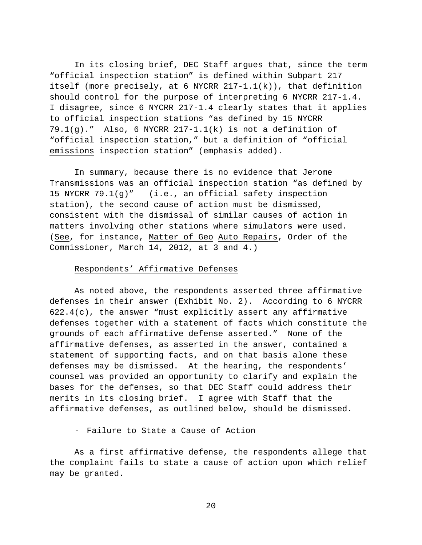In its closing brief, DEC Staff argues that, since the term "official inspection station" is defined within Subpart 217 itself (more precisely, at 6 NYCRR  $217-1.1(k)$ ), that definition should control for the purpose of interpreting 6 NYCRR 217-1.4. I disagree, since 6 NYCRR 217-1.4 clearly states that it applies to official inspection stations "as defined by 15 NYCRR 79.1(g)." Also, 6 NYCRR  $217-1.1(k)$  is not a definition of "official inspection station," but a definition of "official emissions inspection station" (emphasis added).

In summary, because there is no evidence that Jerome Transmissions was an official inspection station "as defined by 15 NYCRR 79.1(g)" (i.e., an official safety inspection station), the second cause of action must be dismissed, consistent with the dismissal of similar causes of action in matters involving other stations where simulators were used. (See, for instance, Matter of Geo Auto Repairs, Order of the Commissioner, March 14, 2012, at 3 and 4.)

## Respondents' Affirmative Defenses

As noted above, the respondents asserted three affirmative defenses in their answer (Exhibit No. 2). According to 6 NYCRR 622.4(c), the answer "must explicitly assert any affirmative defenses together with a statement of facts which constitute the grounds of each affirmative defense asserted." None of the affirmative defenses, as asserted in the answer, contained a statement of supporting facts, and on that basis alone these defenses may be dismissed. At the hearing, the respondents' counsel was provided an opportunity to clarify and explain the bases for the defenses, so that DEC Staff could address their merits in its closing brief. I agree with Staff that the affirmative defenses, as outlined below, should be dismissed.

- Failure to State a Cause of Action

As a first affirmative defense, the respondents allege that the complaint fails to state a cause of action upon which relief may be granted.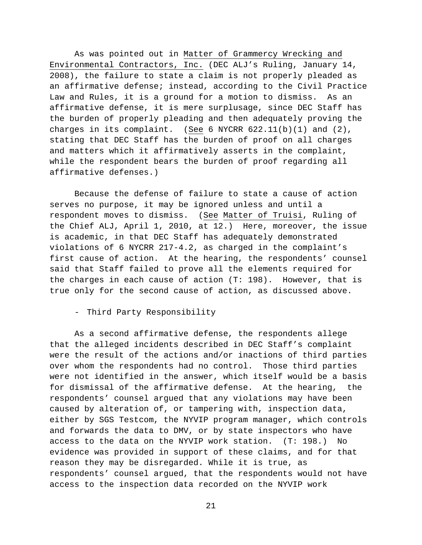As was pointed out in Matter of Grammercy Wrecking and Environmental Contractors, Inc. (DEC ALJ's Ruling, January 14, 2008), the failure to state a claim is not properly pleaded as an affirmative defense; instead, according to the Civil Practice Law and Rules, it is a ground for a motion to dismiss. As an affirmative defense, it is mere surplusage, since DEC Staff has the burden of properly pleading and then adequately proving the charges in its complaint. (See 6 NYCRR  $622.11(b)(1)$  and  $(2)$ , stating that DEC Staff has the burden of proof on all charges and matters which it affirmatively asserts in the complaint, while the respondent bears the burden of proof regarding all affirmative defenses.)

Because the defense of failure to state a cause of action serves no purpose, it may be ignored unless and until a respondent moves to dismiss. (See Matter of Truisi, Ruling of the Chief ALJ, April 1, 2010, at 12.) Here, moreover, the issue is academic, in that DEC Staff has adequately demonstrated violations of 6 NYCRR 217-4.2, as charged in the complaint's first cause of action. At the hearing, the respondents' counsel said that Staff failed to prove all the elements required for the charges in each cause of action (T: 198). However, that is true only for the second cause of action, as discussed above.

- Third Party Responsibility

As a second affirmative defense, the respondents allege that the alleged incidents described in DEC Staff's complaint were the result of the actions and/or inactions of third parties over whom the respondents had no control. Those third parties were not identified in the answer, which itself would be a basis for dismissal of the affirmative defense. At the hearing, the respondents' counsel argued that any violations may have been caused by alteration of, or tampering with, inspection data, either by SGS Testcom, the NYVIP program manager, which controls and forwards the data to DMV, or by state inspectors who have access to the data on the NYVIP work station. (T: 198.) No evidence was provided in support of these claims, and for that reason they may be disregarded. While it is true, as respondents' counsel argued, that the respondents would not have access to the inspection data recorded on the NYVIP work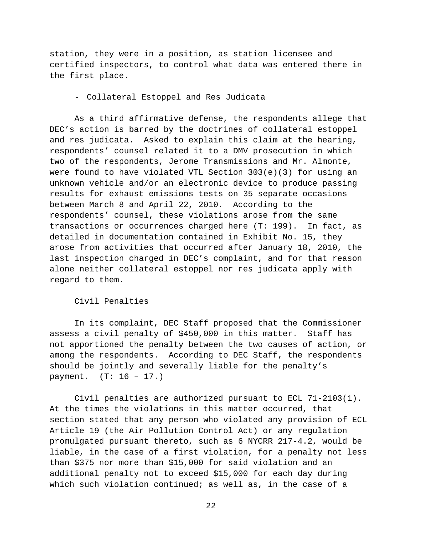station, they were in a position, as station licensee and certified inspectors, to control what data was entered there in the first place.

- Collateral Estoppel and Res Judicata

As a third affirmative defense, the respondents allege that DEC's action is barred by the doctrines of collateral estoppel and res judicata. Asked to explain this claim at the hearing, respondents' counsel related it to a DMV prosecution in which two of the respondents, Jerome Transmissions and Mr. Almonte, were found to have violated VTL Section  $303(e)(3)$  for using an unknown vehicle and/or an electronic device to produce passing results for exhaust emissions tests on 35 separate occasions between March 8 and April 22, 2010. According to the respondents' counsel, these violations arose from the same transactions or occurrences charged here (T: 199). In fact, as detailed in documentation contained in Exhibit No. 15, they arose from activities that occurred after January 18, 2010, the last inspection charged in DEC's complaint, and for that reason alone neither collateral estoppel nor res judicata apply with regard to them.

### Civil Penalties

In its complaint, DEC Staff proposed that the Commissioner assess a civil penalty of \$450,000 in this matter. Staff has not apportioned the penalty between the two causes of action, or among the respondents. According to DEC Staff, the respondents should be jointly and severally liable for the penalty's payment. (T: 16 – 17.)

Civil penalties are authorized pursuant to ECL 71-2103(1). At the times the violations in this matter occurred, that section stated that any person who violated any provision of ECL Article 19 (the Air Pollution Control Act) or any regulation promulgated pursuant thereto, such as 6 NYCRR 217-4.2, would be liable, in the case of a first violation, for a penalty not less than \$375 nor more than \$15,000 for said violation and an additional penalty not to exceed \$15,000 for each day during which such violation continued; as well as, in the case of a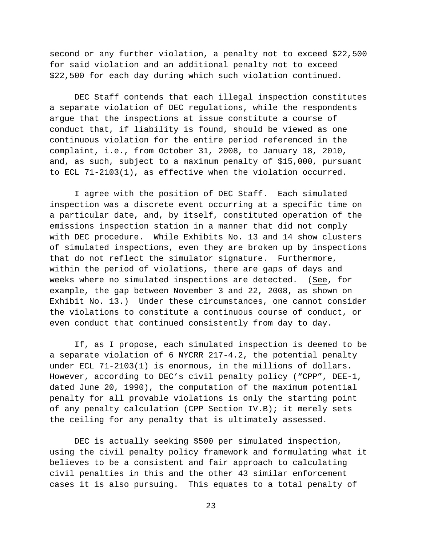second or any further violation, a penalty not to exceed \$22,500 for said violation and an additional penalty not to exceed \$22,500 for each day during which such violation continued.

DEC Staff contends that each illegal inspection constitutes a separate violation of DEC regulations, while the respondents argue that the inspections at issue constitute a course of conduct that, if liability is found, should be viewed as one continuous violation for the entire period referenced in the complaint, i.e., from October 31, 2008, to January 18, 2010, and, as such, subject to a maximum penalty of \$15,000, pursuant to ECL 71-2103(1), as effective when the violation occurred.

I agree with the position of DEC Staff. Each simulated inspection was a discrete event occurring at a specific time on a particular date, and, by itself, constituted operation of the emissions inspection station in a manner that did not comply with DEC procedure. While Exhibits No. 13 and 14 show clusters of simulated inspections, even they are broken up by inspections that do not reflect the simulator signature. Furthermore, within the period of violations, there are gaps of days and weeks where no simulated inspections are detected. (See, for example, the gap between November 3 and 22, 2008, as shown on Exhibit No. 13.) Under these circumstances, one cannot consider the violations to constitute a continuous course of conduct, or even conduct that continued consistently from day to day.

If, as I propose, each simulated inspection is deemed to be a separate violation of 6 NYCRR 217-4.2, the potential penalty under ECL 71-2103(1) is enormous, in the millions of dollars. However, according to DEC's civil penalty policy ("CPP", DEE-1, dated June 20, 1990), the computation of the maximum potential penalty for all provable violations is only the starting point of any penalty calculation (CPP Section IV.B); it merely sets the ceiling for any penalty that is ultimately assessed.

DEC is actually seeking \$500 per simulated inspection, using the civil penalty policy framework and formulating what it believes to be a consistent and fair approach to calculating civil penalties in this and the other 43 similar enforcement cases it is also pursuing. This equates to a total penalty of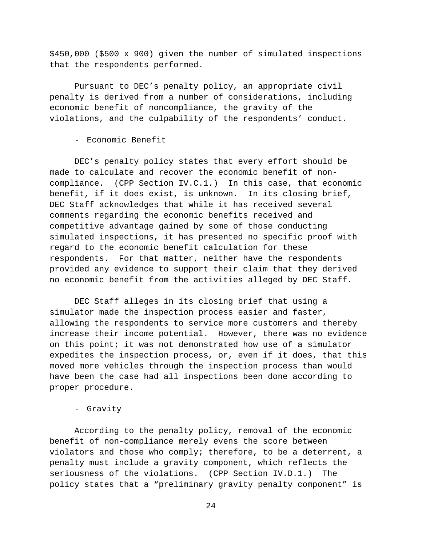\$450,000 (\$500 x 900) given the number of simulated inspections that the respondents performed.

Pursuant to DEC's penalty policy, an appropriate civil penalty is derived from a number of considerations, including economic benefit of noncompliance, the gravity of the violations, and the culpability of the respondents' conduct.

- Economic Benefit

DEC's penalty policy states that every effort should be made to calculate and recover the economic benefit of noncompliance. (CPP Section IV.C.1.) In this case, that economic benefit, if it does exist, is unknown. In its closing brief, DEC Staff acknowledges that while it has received several comments regarding the economic benefits received and competitive advantage gained by some of those conducting simulated inspections, it has presented no specific proof with regard to the economic benefit calculation for these respondents. For that matter, neither have the respondents provided any evidence to support their claim that they derived no economic benefit from the activities alleged by DEC Staff.

DEC Staff alleges in its closing brief that using a simulator made the inspection process easier and faster, allowing the respondents to service more customers and thereby increase their income potential. However, there was no evidence on this point; it was not demonstrated how use of a simulator expedites the inspection process, or, even if it does, that this moved more vehicles through the inspection process than would have been the case had all inspections been done according to proper procedure.

## - Gravity

According to the penalty policy, removal of the economic benefit of non-compliance merely evens the score between violators and those who comply; therefore, to be a deterrent, a penalty must include a gravity component, which reflects the seriousness of the violations. (CPP Section IV.D.1.) The policy states that a "preliminary gravity penalty component" is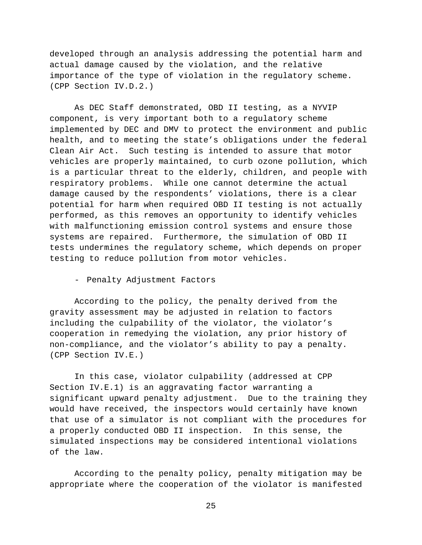developed through an analysis addressing the potential harm and actual damage caused by the violation, and the relative importance of the type of violation in the regulatory scheme. (CPP Section IV.D.2.)

As DEC Staff demonstrated, OBD II testing, as a NYVIP component, is very important both to a regulatory scheme implemented by DEC and DMV to protect the environment and public health, and to meeting the state's obligations under the federal Clean Air Act. Such testing is intended to assure that motor vehicles are properly maintained, to curb ozone pollution, which is a particular threat to the elderly, children, and people with respiratory problems. While one cannot determine the actual damage caused by the respondents' violations, there is a clear potential for harm when required OBD II testing is not actually performed, as this removes an opportunity to identify vehicles with malfunctioning emission control systems and ensure those systems are repaired. Furthermore, the simulation of OBD II tests undermines the regulatory scheme, which depends on proper testing to reduce pollution from motor vehicles.

- Penalty Adjustment Factors

According to the policy, the penalty derived from the gravity assessment may be adjusted in relation to factors including the culpability of the violator, the violator's cooperation in remedying the violation, any prior history of non-compliance, and the violator's ability to pay a penalty. (CPP Section IV.E.)

In this case, violator culpability (addressed at CPP Section IV.E.1) is an aggravating factor warranting a significant upward penalty adjustment. Due to the training they would have received, the inspectors would certainly have known that use of a simulator is not compliant with the procedures for a properly conducted OBD II inspection. In this sense, the simulated inspections may be considered intentional violations of the law.

According to the penalty policy, penalty mitigation may be appropriate where the cooperation of the violator is manifested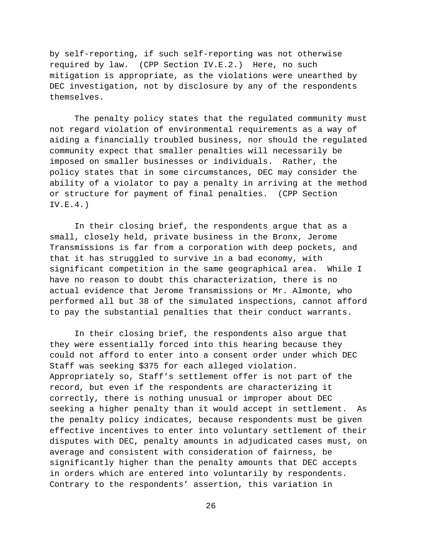by self-reporting, if such self-reporting was not otherwise required by law. (CPP Section IV.E.2.) Here, no such mitigation is appropriate, as the violations were unearthed by DEC investigation, not by disclosure by any of the respondents themselves.

The penalty policy states that the regulated community must not regard violation of environmental requirements as a way of aiding a financially troubled business, nor should the regulated community expect that smaller penalties will necessarily be imposed on smaller businesses or individuals. Rather, the policy states that in some circumstances, DEC may consider the ability of a violator to pay a penalty in arriving at the method or structure for payment of final penalties. (CPP Section  $IV.E.4.$ )

In their closing brief, the respondents argue that as a small, closely held, private business in the Bronx, Jerome Transmissions is far from a corporation with deep pockets, and that it has struggled to survive in a bad economy, with significant competition in the same geographical area. While I have no reason to doubt this characterization, there is no actual evidence that Jerome Transmissions or Mr. Almonte, who performed all but 38 of the simulated inspections, cannot afford to pay the substantial penalties that their conduct warrants.

In their closing brief, the respondents also argue that they were essentially forced into this hearing because they could not afford to enter into a consent order under which DEC Staff was seeking \$375 for each alleged violation. Appropriately so, Staff's settlement offer is not part of the record, but even if the respondents are characterizing it correctly, there is nothing unusual or improper about DEC seeking a higher penalty than it would accept in settlement. As the penalty policy indicates, because respondents must be given effective incentives to enter into voluntary settlement of their disputes with DEC, penalty amounts in adjudicated cases must, on average and consistent with consideration of fairness, be significantly higher than the penalty amounts that DEC accepts in orders which are entered into voluntarily by respondents. Contrary to the respondents' assertion, this variation in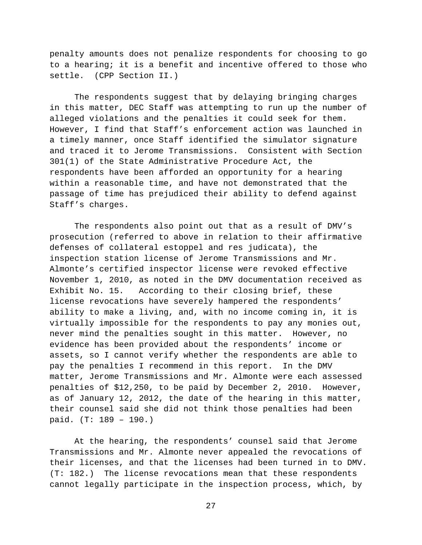penalty amounts does not penalize respondents for choosing to go to a hearing; it is a benefit and incentive offered to those who settle. (CPP Section II.)

The respondents suggest that by delaying bringing charges in this matter, DEC Staff was attempting to run up the number of alleged violations and the penalties it could seek for them. However, I find that Staff's enforcement action was launched in a timely manner, once Staff identified the simulator signature and traced it to Jerome Transmissions. Consistent with Section 301(1) of the State Administrative Procedure Act, the respondents have been afforded an opportunity for a hearing within a reasonable time, and have not demonstrated that the passage of time has prejudiced their ability to defend against Staff's charges.

The respondents also point out that as a result of DMV's prosecution (referred to above in relation to their affirmative defenses of collateral estoppel and res judicata), the inspection station license of Jerome Transmissions and Mr. Almonte's certified inspector license were revoked effective November 1, 2010, as noted in the DMV documentation received as Exhibit No. 15. According to their closing brief, these license revocations have severely hampered the respondents' ability to make a living, and, with no income coming in, it is virtually impossible for the respondents to pay any monies out, never mind the penalties sought in this matter. However, no evidence has been provided about the respondents' income or assets, so I cannot verify whether the respondents are able to pay the penalties I recommend in this report. In the DMV matter, Jerome Transmissions and Mr. Almonte were each assessed penalties of \$12,250, to be paid by December 2, 2010. However, as of January 12, 2012, the date of the hearing in this matter, their counsel said she did not think those penalties had been paid. (T: 189 – 190.)

At the hearing, the respondents' counsel said that Jerome Transmissions and Mr. Almonte never appealed the revocations of their licenses, and that the licenses had been turned in to DMV. (T: 182.) The license revocations mean that these respondents cannot legally participate in the inspection process, which, by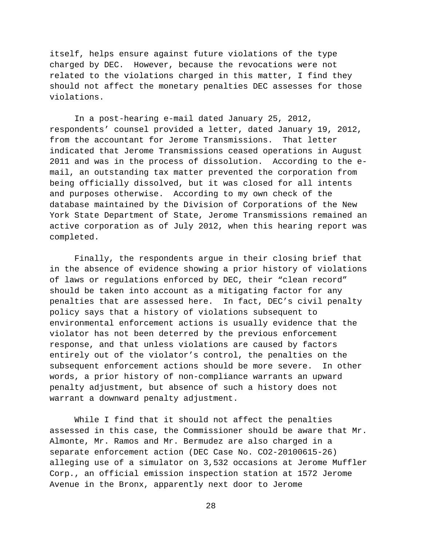itself, helps ensure against future violations of the type charged by DEC. However, because the revocations were not related to the violations charged in this matter, I find they should not affect the monetary penalties DEC assesses for those violations.

In a post-hearing e-mail dated January 25, 2012, respondents' counsel provided a letter, dated January 19, 2012, from the accountant for Jerome Transmissions. That letter indicated that Jerome Transmissions ceased operations in August 2011 and was in the process of dissolution. According to the email, an outstanding tax matter prevented the corporation from being officially dissolved, but it was closed for all intents and purposes otherwise. According to my own check of the database maintained by the Division of Corporations of the New York State Department of State, Jerome Transmissions remained an active corporation as of July 2012, when this hearing report was completed.

Finally, the respondents argue in their closing brief that in the absence of evidence showing a prior history of violations of laws or regulations enforced by DEC, their "clean record" should be taken into account as a mitigating factor for any penalties that are assessed here. In fact, DEC's civil penalty policy says that a history of violations subsequent to environmental enforcement actions is usually evidence that the violator has not been deterred by the previous enforcement response, and that unless violations are caused by factors entirely out of the violator's control, the penalties on the subsequent enforcement actions should be more severe. In other words, a prior history of non-compliance warrants an upward penalty adjustment, but absence of such a history does not warrant a downward penalty adjustment.

While I find that it should not affect the penalties assessed in this case, the Commissioner should be aware that Mr. Almonte, Mr. Ramos and Mr. Bermudez are also charged in a separate enforcement action (DEC Case No. CO2-20100615-26) alleging use of a simulator on 3,532 occasions at Jerome Muffler Corp., an official emission inspection station at 1572 Jerome Avenue in the Bronx, apparently next door to Jerome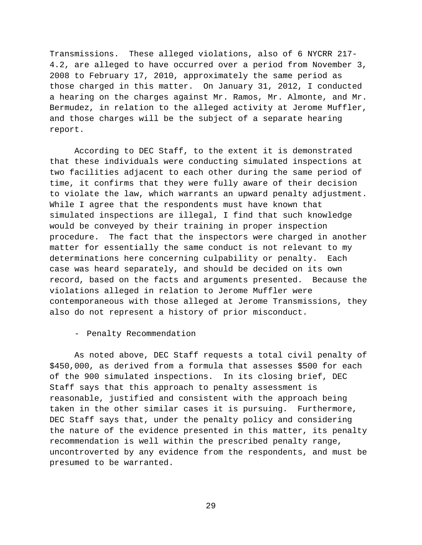Transmissions. These alleged violations, also of 6 NYCRR 217- 4.2, are alleged to have occurred over a period from November 3, 2008 to February 17, 2010, approximately the same period as those charged in this matter. On January 31, 2012, I conducted a hearing on the charges against Mr. Ramos, Mr. Almonte, and Mr. Bermudez, in relation to the alleged activity at Jerome Muffler, and those charges will be the subject of a separate hearing report.

According to DEC Staff, to the extent it is demonstrated that these individuals were conducting simulated inspections at two facilities adjacent to each other during the same period of time, it confirms that they were fully aware of their decision to violate the law, which warrants an upward penalty adjustment. While I agree that the respondents must have known that simulated inspections are illegal, I find that such knowledge would be conveyed by their training in proper inspection procedure. The fact that the inspectors were charged in another matter for essentially the same conduct is not relevant to my determinations here concerning culpability or penalty. Each case was heard separately, and should be decided on its own record, based on the facts and arguments presented. Because the violations alleged in relation to Jerome Muffler were contemporaneous with those alleged at Jerome Transmissions, they also do not represent a history of prior misconduct.

- Penalty Recommendation

As noted above, DEC Staff requests a total civil penalty of \$450,000, as derived from a formula that assesses \$500 for each of the 900 simulated inspections. In its closing brief, DEC Staff says that this approach to penalty assessment is reasonable, justified and consistent with the approach being taken in the other similar cases it is pursuing. Furthermore, DEC Staff says that, under the penalty policy and considering the nature of the evidence presented in this matter, its penalty recommendation is well within the prescribed penalty range, uncontroverted by any evidence from the respondents, and must be presumed to be warranted.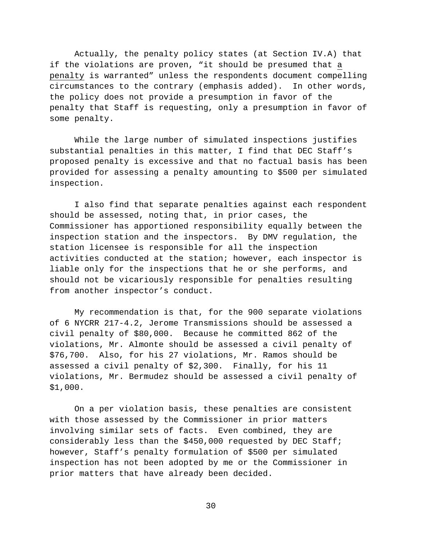Actually, the penalty policy states (at Section IV.A) that if the violations are proven, "it should be presumed that a penalty is warranted" unless the respondents document compelling circumstances to the contrary (emphasis added). In other words, the policy does not provide a presumption in favor of the penalty that Staff is requesting, only a presumption in favor of some penalty.

While the large number of simulated inspections justifies substantial penalties in this matter, I find that DEC Staff's proposed penalty is excessive and that no factual basis has been provided for assessing a penalty amounting to \$500 per simulated inspection.

I also find that separate penalties against each respondent should be assessed, noting that, in prior cases, the Commissioner has apportioned responsibility equally between the inspection station and the inspectors. By DMV regulation, the station licensee is responsible for all the inspection activities conducted at the station; however, each inspector is liable only for the inspections that he or she performs, and should not be vicariously responsible for penalties resulting from another inspector's conduct.

My recommendation is that, for the 900 separate violations of 6 NYCRR 217-4.2, Jerome Transmissions should be assessed a civil penalty of \$80,000. Because he committed 862 of the violations, Mr. Almonte should be assessed a civil penalty of \$76,700. Also, for his 27 violations, Mr. Ramos should be assessed a civil penalty of \$2,300. Finally, for his 11 violations, Mr. Bermudez should be assessed a civil penalty of \$1,000.

On a per violation basis, these penalties are consistent with those assessed by the Commissioner in prior matters involving similar sets of facts. Even combined, they are considerably less than the \$450,000 requested by DEC Staff; however, Staff's penalty formulation of \$500 per simulated inspection has not been adopted by me or the Commissioner in prior matters that have already been decided.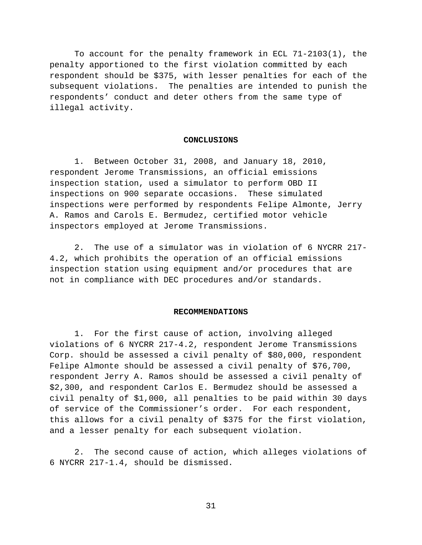To account for the penalty framework in ECL 71-2103(1), the penalty apportioned to the first violation committed by each respondent should be \$375, with lesser penalties for each of the subsequent violations. The penalties are intended to punish the respondents' conduct and deter others from the same type of illegal activity.

## **CONCLUSIONS**

1. Between October 31, 2008, and January 18, 2010, respondent Jerome Transmissions, an official emissions inspection station, used a simulator to perform OBD II inspections on 900 separate occasions. These simulated inspections were performed by respondents Felipe Almonte, Jerry A. Ramos and Carols E. Bermudez, certified motor vehicle inspectors employed at Jerome Transmissions.

2. The use of a simulator was in violation of 6 NYCRR 217- 4.2, which prohibits the operation of an official emissions inspection station using equipment and/or procedures that are not in compliance with DEC procedures and/or standards.

#### **RECOMMENDATIONS**

1. For the first cause of action, involving alleged violations of 6 NYCRR 217-4.2, respondent Jerome Transmissions Corp. should be assessed a civil penalty of \$80,000, respondent Felipe Almonte should be assessed a civil penalty of \$76,700, respondent Jerry A. Ramos should be assessed a civil penalty of \$2,300, and respondent Carlos E. Bermudez should be assessed a civil penalty of \$1,000, all penalties to be paid within 30 days of service of the Commissioner's order. For each respondent, this allows for a civil penalty of \$375 for the first violation, and a lesser penalty for each subsequent violation.

2. The second cause of action, which alleges violations of 6 NYCRR 217-1.4, should be dismissed.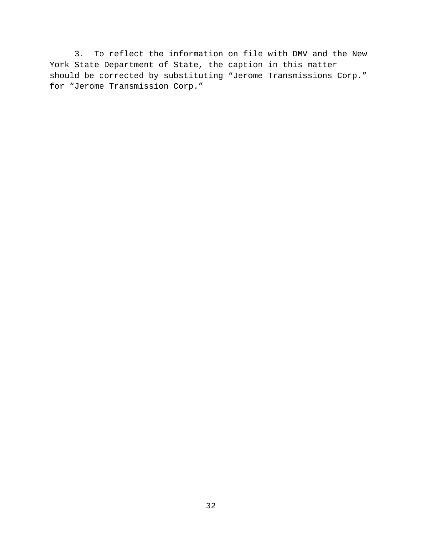3. To reflect the information on file with DMV and the New York State Department of State, the caption in this matter should be corrected by substituting "Jerome Transmissions Corp." for "Jerome Transmission Corp."